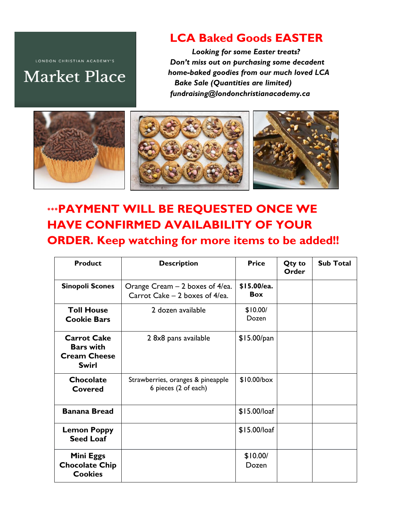LONDON CHRISTIAN ACADEMY'S

## **Market Place**

## **LCA Baked Goods EASTER**

 *Looking for some Easter treats? Don't miss out on purchasing some decadent home-baked goodies from our much loved LCA Bake Sale (Quantities are limited) fundraising@londonchristianacademy.ca*



## **\*\*\*PAYMENT WILL BE REQUESTED ONCE WE HAVE CONFIRMED AVAILABILITY OF YOUR ORDER. Keep watching for more items to be added!!**

| <b>Product</b>                                                                | <b>Description</b>                                                | <b>Price</b>              | Qty to<br>Order | <b>Sub Total</b> |
|-------------------------------------------------------------------------------|-------------------------------------------------------------------|---------------------------|-----------------|------------------|
| <b>Sinopoli Scones</b>                                                        | Orange Cream – 2 boxes of 4/ea.<br>Carrot Cake - 2 boxes of 4/ea. | \$15.00/ea.<br><b>Box</b> |                 |                  |
| <b>Toll House</b><br><b>Cookie Bars</b>                                       | 2 dozen available                                                 | \$10.00/<br>Dozen         |                 |                  |
| <b>Carrot Cake</b><br><b>Bars with</b><br><b>Cream Cheese</b><br><b>Swirl</b> | 2 8x8 pans available                                              | \$15.00/pan               |                 |                  |
| <b>Chocolate</b><br><b>Covered</b>                                            | Strawberries, oranges & pineapple<br>6 pieces (2 of each)         | $$10.00/b$ ox             |                 |                  |
| <b>Banana Bread</b>                                                           |                                                                   | $$15.00/$ loaf            |                 |                  |
| <b>Lemon Poppy</b><br><b>Seed Loaf</b>                                        |                                                                   | $$15.00/$ loaf            |                 |                  |
| Mini Eggs<br><b>Chocolate Chip</b><br><b>Cookies</b>                          |                                                                   | \$10.00/<br>Dozen         |                 |                  |